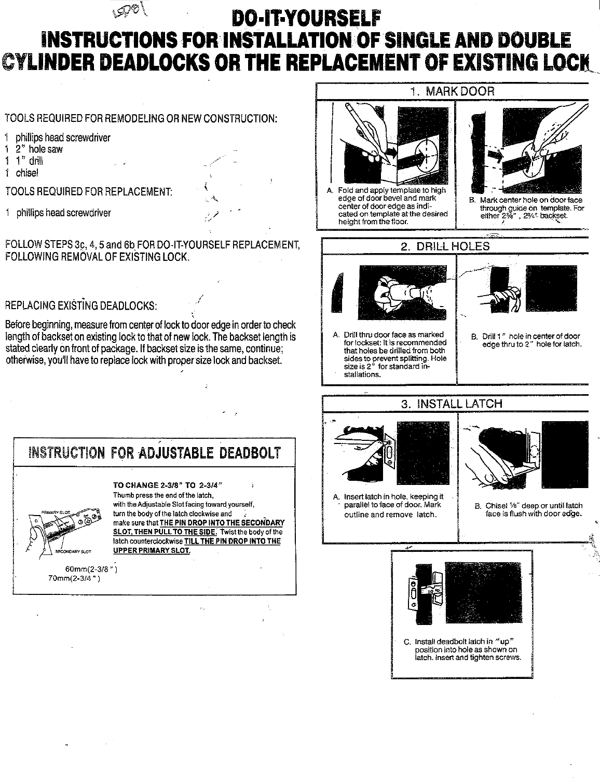## DO-IT-YOURSELF INSTRUCTIONS FOR INSTALLATION OF SINGLE AND DOUBLE **CYLINDER DEADLOCKS OR THE REPLACEMENT OF EXISTING LOCK**

TOOLS REQUIRED FOR REMODELING OR NEW CONSTRUCTION:

- 1 phillips head screwdriver
- 1 2" hole saw
- 1  $1$ " drill
- 1 chisel
- TOOLS REQUIRED FOR REPLACEMENT:
- 1 phillips head screwdriver

FOLLOW STEPS 3c, 4, 5 and 6b FOR DO-IT-YOURSELF REPLACEMENT, FOLLOWING REMOVAL OF EXISTING LOCK.

/

¢

## , REPLACING EXISTiNG DEADLOCKS:

Before beginning, measure from center of lock to door edge in orderto check length of backset on existing lock to that of new lock. The backset length is stated clearly on front of package. If backset size is the same, continue; otherwise, you'll have to replace lock with proper size lock and backset.



1. MARKDOOR A. Fold and apply template to high edge of door bevel and mark center of door edge as indicated on template at the desired height from the floor. B. Mark center hole on door face through guide on template. For<br>either 2%", 2%<sup>\*</sup> backset. 2. DRILL HOLES A. Drill thru door face as marked for lockset: It is recommended that holes be drilled from both sides to prevent splitting. Hole size is 2" for standard installations. B. Drill 1 " hole in center of door edge thru to 2" hole for latch. 3. INSTALL LATCH c. A. Insert latch in hole, keeping it parallel to face of door. Mark outline and remove latch. B. Chisel Vs" deep or until latch face is flush with door edge.  $\begin{array}{cccccccccccccc} \textcolor{red}{\textbf{1}} & \textcolor{red}{\textbf{1}} & \textcolor{red}{\textbf{1}} & \textcolor{red}{\textbf{1}} & \textcolor{red}{\textbf{1}} & \textcolor{red}{\textbf{1}} & \textcolor{red}{\textbf{1}} & \textcolor{red}{\textbf{1}} & \textcolor{red}{\textbf{1}} & \textcolor{red}{\textbf{1}} & \textcolor{red}{\textbf{1}} & \textcolor{red}{\textbf{1}} & \textcolor{red}{\textbf{1}} & \textcolor{red}{\textbf{1}} & \textcolor{red}{\textbf{1}} & \textcolor{red}{\textbf{1}} & \text$ C. Install dead bolt latch in "up" position into hole as shown on iatch. Insert and tighten screws.